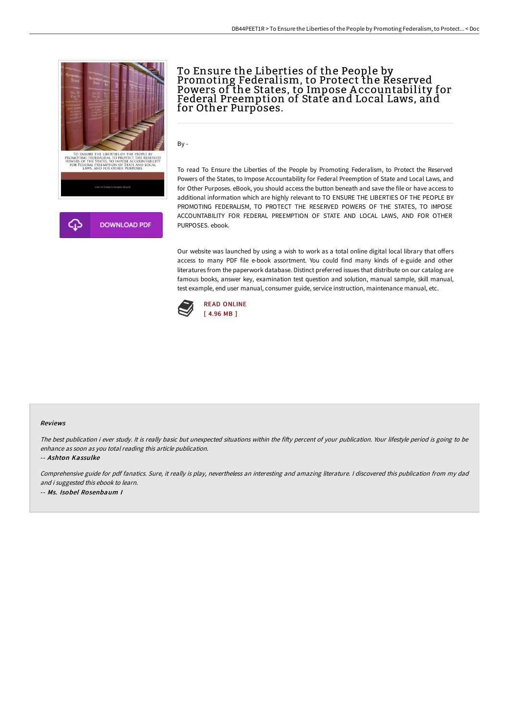

To Ensure the Liberties of the People by Promoting Federalism, to Protect the Reserved Powers of the States, to Impose A ccountability for Federal Preemption of State and Local Laws, and for Other Purposes.

By -

To read To Ensure the Liberties of the People by Promoting Federalism, to Protect the Reserved Powers of the States, to Impose Accountability for Federal Preemption of State and Local Laws, and for Other Purposes. eBook, you should access the button beneath and save the file or have access to additional information which are highly relevant to TO ENSURE THE LIBERTIES OF THE PEOPLE BY PROMOTING FEDERALISM, TO PROTECT THE RESERVED POWERS OF THE STATES, TO IMPOSE ACCOUNTABILITY FOR FEDERAL PREEMPTION OF STATE AND LOCAL LAWS, AND FOR OTHER PURPOSES. ebook.

Our website was launched by using a wish to work as a total online digital local library that offers access to many PDF file e-book assortment. You could find many kinds of e-guide and other literatures from the paperwork database. Distinct preferred issues that distribute on our catalog are famous books, answer key, examination test question and solution, manual sample, skill manual, test example, end user manual, consumer guide, service instruction, maintenance manual, etc.



## Reviews

The best publication i ever study. It is really basic but unexpected situations within the fifty percent of your publication. Your lifestyle period is going to be enhance as soon as you total reading this article publication.

-- Ashton Kassulke

Comprehensive guide for pdf fanatics. Sure, it really is play, nevertheless an interesting and amazing literature. <sup>I</sup> discovered this publication from my dad and i suggested this ebook to learn. -- Ms. Isobel Rosenbaum I